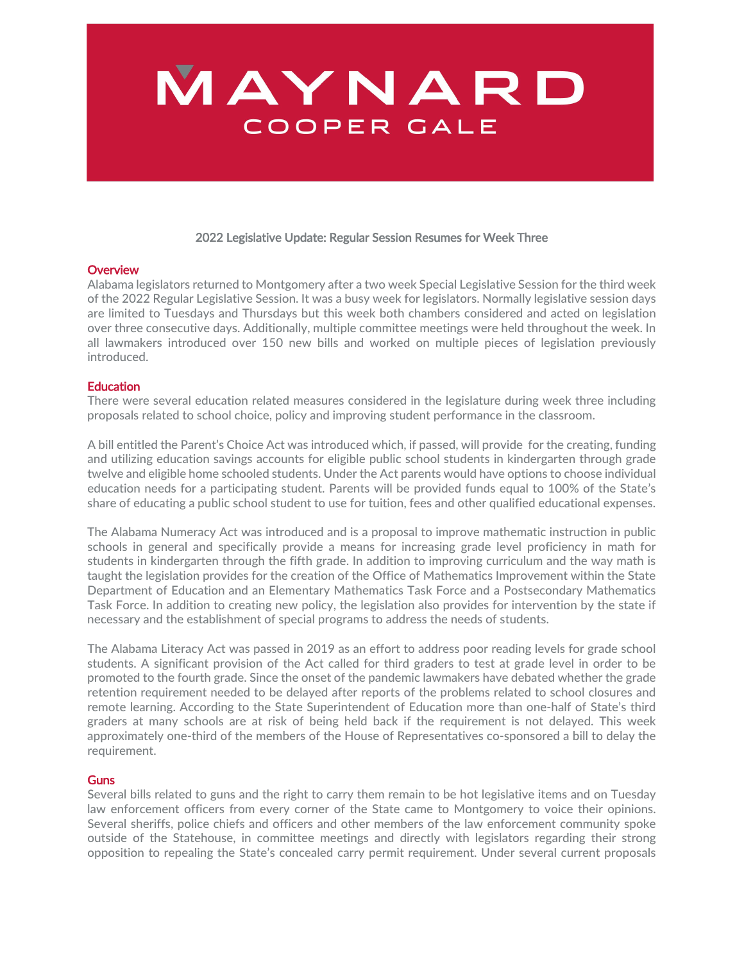# MAYNARD COOPER GALE

#### 2022 Legislative Update: Regular Session Resumes for Week Three

### **Overview**

Alabama legislators returned to Montgomery after a two week Special Legislative Session for the third week of the 2022 Regular Legislative Session. It was a busy week for legislators. Normally legislative session days are limited to Tuesdays and Thursdays but this week both chambers considered and acted on legislation over three consecutive days. Additionally, multiple committee meetings were held throughout the week. In all lawmakers introduced over 150 new bills and worked on multiple pieces of legislation previously introduced.

#### **Education**

There were several education related measures considered in the legislature during week three including proposals related to school choice, policy and improving student performance in the classroom.

A bill entitled the Parent's Choice Act was introduced which, if passed, will provide for the creating, funding and utilizing education savings accounts for eligible public school students in kindergarten through grade twelve and eligible home schooled students. Under the Act parents would have options to choose individual education needs for a participating student. Parents will be provided funds equal to 100% of the State's share of educating a public school student to use for tuition, fees and other qualified educational expenses.

The Alabama Numeracy Act was introduced and is a proposal to improve mathematic instruction in public schools in general and specifically provide a means for increasing grade level proficiency in math for students in kindergarten through the fifth grade. In addition to improving curriculum and the way math is taught the legislation provides for the creation of the Office of Mathematics Improvement within the State Department of Education and an Elementary Mathematics Task Force and a Postsecondary Mathematics Task Force. In addition to creating new policy, the legislation also provides for intervention by the state if necessary and the establishment of special programs to address the needs of students.

The Alabama Literacy Act was passed in 2019 as an effort to address poor reading levels for grade school students. A significant provision of the Act called for third graders to test at grade level in order to be promoted to the fourth grade. Since the onset of the pandemic lawmakers have debated whether the grade retention requirement needed to be delayed after reports of the problems related to school closures and remote learning. According to the State Superintendent of Education more than one‐half of State's third graders at many schools are at risk of being held back if the requirement is not delayed. This week approximately one‐third of the members of the House of Representatives co‐sponsored a bill to delay the requirement.

#### **Guns**

Several bills related to guns and the right to carry them remain to be hot legislative items and on Tuesday law enforcement officers from every corner of the State came to Montgomery to voice their opinions. Several sheriffs, police chiefs and officers and other members of the law enforcement community spoke outside of the Statehouse, in committee meetings and directly with legislators regarding their strong opposition to repealing the State's concealed carry permit requirement. Under several current proposals